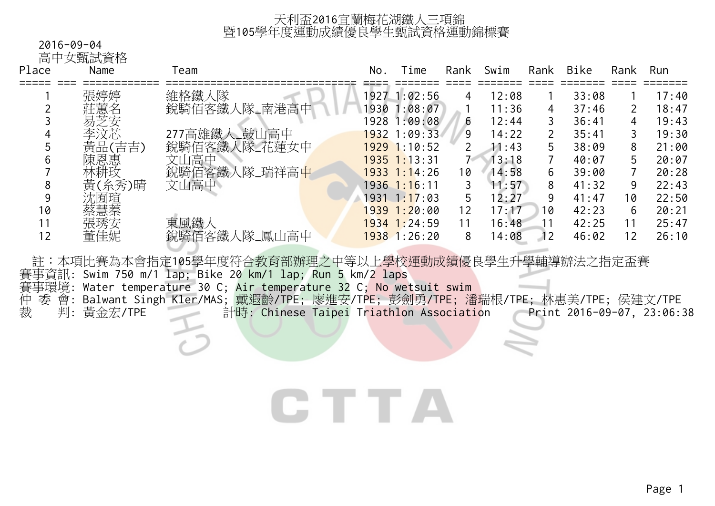### 2016-09-04

高中女甄試資格

| Place | Name   | Team         | No. | Time             | Rank | Swim  | Rank | Bike  | Rank              | Run   |
|-------|--------|--------------|-----|------------------|------|-------|------|-------|-------------------|-------|
|       | 張婷婷    | 維格鐵人隊        |     | 1927 1:02:56     | 4    | 12:08 |      | 33:08 |                   | 17:40 |
|       | 莊蕙名    | 銳騎佰客鐵人隊_南港高中 |     | 1930 1:08:07     |      | 11:36 | 4    | 37:46 | $\overline{2}$    | 18:47 |
|       | 易芝安    |              |     | 1928 1:09:08     | 6    | 12:44 |      | 36:41 | 4                 | 19:43 |
| 4     | 李汶芯    | 277高雄鐵人_鼓山高中 |     | 1932 1:09:33     | 9    | 14:22 |      | 35:41 | 3                 | 19:30 |
|       | 黃品(吉吉) | 銳騎佰客鐵人隊_花蓮女中 |     | $1929$ 1:10:52   | 2    | 11:43 |      | 38:09 | 8                 | 21:00 |
| 6     | 陳恩惠    | 文山高中         |     | $1935$ 1:13:31   |      | 13:18 |      | 40:07 | 5.                | 20:07 |
|       | 林耕玫    | 鋭騎佰客鐵人隊_瑞祥高中 |     | $1933$ $1:14:26$ | 10   | 14:58 | 6    | 39:00 |                   | 20:28 |
| 8     | 黃(糸秀)晴 | 文山高中         |     | $1936$ 1:16:11   | 3    | 11:57 | 8    | 41:32 | 9                 | 22:43 |
| 9     | 沈囿瑄    |              |     | $1931 \t1:17:03$ | 5    | 12:27 |      | 41:47 | 10                | 22:50 |
| 10    | 蔡慧蓁    |              |     | $1939$ 1:20:00   | 12   | 17:17 | 10   | 42:23 | 6                 | 20:21 |
| 11    | 張琇安    | 東風鐵人         |     | $1934$ 1:24:59   | 11   | 16:48 | 1    | 42:25 | 11                | 25:47 |
| 12    | 董佳妮    | 銳騎佰客鐵人隊_鳳山高中 |     | $1938$ 1:26:20   | 8    | 14:08 | 12   | 46:02 | $12 \overline{ }$ | 26:10 |

註:本項比賽為本會指定105學年度符合教育部辦理之中等以上學校運動成績優良學生升學輔導辦法之指定盃賽

賽事資訊: Swim 750 m/1 lap; Bike 20 km/1 lap; Run 5 km/2 laps

賽事環境: Water temperature 30 C; Air temperature 32 C; No wetsuit swim

仲 委 會: Balwant Singh Kler/MAS; 戴遐齡/TPE; 廖進安/TPE; 彭劍勇/TPE; 潘瑞根/TPE; 林惠美/TPE; 侯建文/TPE 裁 判: 黃金宏/TPE 計時: Chinese Taipei Triathlon Association Print 2016-09-07, 23:06:38

# CTTA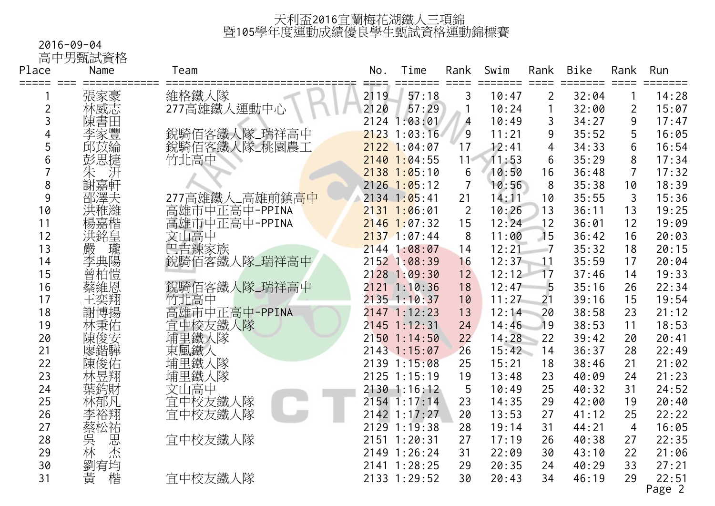#### 2016-09-04

高中男甄試資格

| Place          | Name            | Team           | No.  | Time                      | Rank            | Swim  | Rank           | <b>Bike</b> | Rank           | Run     |
|----------------|-----------------|----------------|------|---------------------------|-----------------|-------|----------------|-------------|----------------|---------|
| =====          | $=$ $=$ $=$ $=$ |                |      |                           |                 |       |                |             |                | $=====$ |
|                | 張家豪             | 維格鐵人隊          | 2119 | 57:18                     | 3               | 10:47 | $\overline{2}$ | 32:04       |                | 14:28   |
| $\overline{2}$ | 林威志             | 277高雄鐵人運動中心    | 2120 | 57:29                     |                 | 10:24 |                | 32:00       | $\overline{2}$ | 15:07   |
| 3              | 陳書田             |                |      | 2124 1:03:01              | 4               | 10:49 | 3              | 34:27       | 9              | 17:47   |
| 4              | 李家豐             | 銳騎佰客鐵人隊_瑞祥高中   |      | $2123$ 1:03:16            | $\overline{9}$  | 11:21 | 9              | 35:52       | 5              | 16:05   |
| 5              | 邱苡綸             | 銳騎佰客鐵人隊_桃園農工   |      | $2122$ 1:04:07            | 17              | 12:41 | 4              | 34:33       | 6              | 16:54   |
| 6              | 彭思捷             | 竹北高中           |      | $2140$ 1:04:55            | 11 <sup>4</sup> | 11:53 | 6              | 35:29       | 8              | 17:34   |
| 7              | )朱<br>謝嘉<br>朝   |                |      | $2138$ 1:05:10            | 6               | 10:50 | 16             | 36:48       | $\overline{7}$ | 17:32   |
| 8              |                 |                |      | $2126$ 1:05:12            | $\overline{7}$  | 10:56 | 8              | 35:38       | 10             | 18:39   |
| 9              | 邵澤夫             | 277高雄鐵人_高雄前鎮高中 |      | 2134 1:05:41              | 21              | 14:11 | 10             | 35:55       | 3              | 15:36   |
| 10             |                 | 高雄市中正高中-PPINA  |      | $2131$ 1:06:01            | $\overline{2}$  | 10:26 | 13             | 36:11       | 13             | 19:25   |
| 11             |                 | 高雄市中正高中-PPINA  |      | $2146$ 1:07:32            | 15              | 12:24 | 12             | 36:01       | 12             | 19:09   |
| 12             | i洪楊嘉銘<br>洪耀嘉銘   | 文山高中           |      | $2137$ 1:07:44            | 8               | 11:00 | 15             | 36:42       | 16             | 20:03   |
| 13             | 瓏<br>嚴          | 巴吉辣家族          |      | $2144$ 1:08:07            | 14              | 12:21 |                | 35:32       | 18             | 20:15   |
| 14             | 李典陽             | 銳騎佰客鐵人隊_瑞祥高中   |      | 2152 1:08:39              | 16              | 12:37 | 11             | 35:59       | 17             | 20:04   |
| 15             | ·曾柏惶恩           |                |      | 2128 1:09:30              | 12              | 12:12 | 17             | 37:46       | 14             | 19:33   |
| 16             |                 | 銳騎佰客鐵人隊_瑞祥高中   |      | $2121$ $1:10:36$          | 18              | 12:47 | 5              | 35:16       | 26             | 22:34   |
| 17             | 王奕翔             | 竹北高中           |      | $2135$ 1:10:37            | 10              | 11:27 | 21             | 39:16       | 15             | 19:54   |
| 18             | 謝博揚             | 高雄市中正高中-PPINA  |      | 2147 1:12:23              | 13              | 12:14 | 20             | 38:58       | 23             | 21:12   |
| 19             | 林秉佑             | 宜中校友鐵人隊        |      | $2145$ 1:12:31            | 24              | 14:46 | 19             | 38:53       | 11             | 18:53   |
| 20             | 陳俊安             | 埔里鐵人隊          |      | 2150 1:14:50              | 22              | 14:28 | 22             | 39:42       | 20             | 20:41   |
| 21             | 廖鍇驊             | 東風鐵人           |      | 2143 1:15:07              | 26              | 15:42 | 14             | 36:37       | 28             | 22:49   |
| 22             | 陳俊佑             | 埔里鐵人隊          |      | 2139 1:15:08              | 25              | 15:21 | 18             | 38:46       | 21             | 21:02   |
| 23             | 林昱翔             | 埔里鐵人隊          |      | 2125 1:15:19              | 19              | 13:48 | 23             | 40:09       | 24             | 21:23   |
| 24             | 葉鈞財             | 文山高中           |      | 2130 1:16:12              | 5               | 10:49 | 25             | 40:32       | 31             | 24:52   |
| 25             | 林郁凡             | 宜中校友鐵人隊        |      | $2154 \overline{1}:17:14$ | 23              | 14:35 | 29             | 42:00       | 19             | 20:40   |
| 26             | 李裕翔             | 宜中校友鐵人隊        |      | 2142 1:17:27              | 20              | 13:53 | 27             | 41:12       | 25             | 22:22   |
| 27             | 蔡松祐             |                |      | 2129 1:19:38              | 28              | 19:14 | 31             | 44:21       | $\overline{4}$ | 16:05   |
| 28             |                 | 宜中校友鐵人隊        |      | 2151 1:20:31              | 27              | 17:19 | 26             | 40:38       | 27             | 22:35   |
| 29             | 实林<br>思杰        |                |      | 2149 1:26:24              | 31              | 22:09 | 30             | 43:10       | 22             | 21:06   |
| 30             | 劉宥均             |                |      | 2141 1:28:25              | 29              | 20:35 | 24             | 40:29       | 33             | 27:21   |
| 31             | 黃<br>楷          | 宜中校友鐵人隊        |      | 2133 1:29:52              | 30              | 20:43 | 34             | 46:19       | 29             | 22:51   |
|                |                 |                |      |                           |                 |       |                |             |                | Page 2  |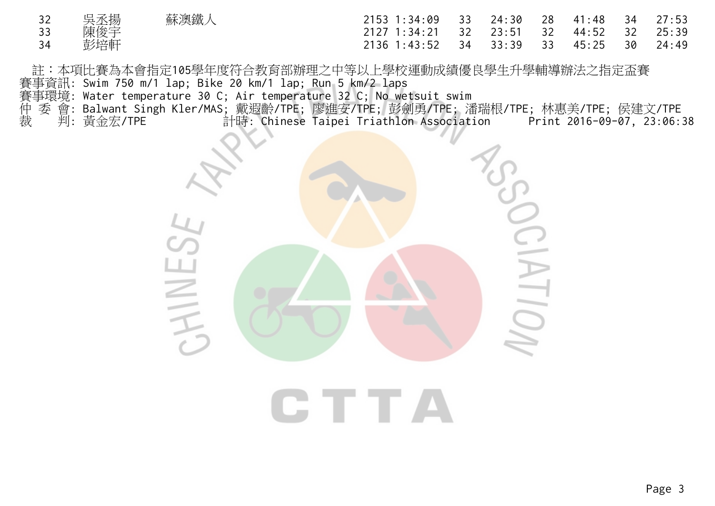| 32 | 吳丞揚 | 蘇澳鐵人 | 2153 1:34:09 33 24:30 28 41:48 34       |  |  | 27:53 |
|----|-----|------|-----------------------------------------|--|--|-------|
| 33 | 陳俊宇 |      | 2127 1:34:21 32 23:51 32 44:52 32 25:39 |  |  |       |
| 34 | 彭培軒 |      | 2136 1:43:52 34 33:39 33 45:25 30 24:49 |  |  |       |

註:本項比賽為本會指定105學年度符合教育部辦理之中等以上學校運動成績優良學生升學輔導辦法之指定盃賽 賽事資訊: Swim 750 m/1 lap; Bike 20 km/1 lap; Run 5 km/2 laps

賽事環境: Water temperature 30 C; Air temperature 32 C; No wetsuit swim

- 仲 委 會: Balwant Singh Kler/MAS; 戴遐齡/TPE; 廖進安/TPE; 彭劍勇/TPE; 潘瑞根/TPE; 林惠美/TPE; 侯建文/TPE
- 裁 判: 黃金宏/TPE 計時: Chinese Taipei Triathlon Association Print 2016-09-07, 23:06:38

 $\sum_{i=1}^{n}$ HINES  $\Box$ 

CTTA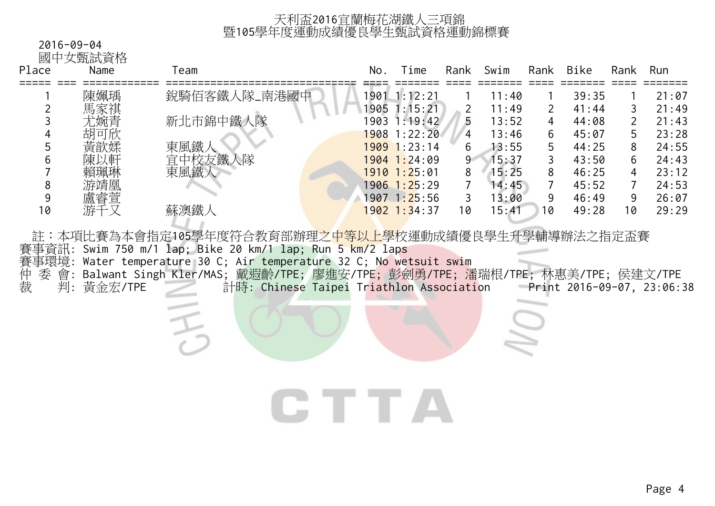## 2016-09-04

國中女甄試資格

| Place | Name | Геаm         | No   | Гіme             | Rank  | Swim  | Rank | <b>Bike</b> | Rank | Run   |
|-------|------|--------------|------|------------------|-------|-------|------|-------------|------|-------|
|       | 陳姵瑀  | 銳騎佰客鐵人隊_南港國中 |      | 1901 1:12:21     |       | 11:40 |      | 39:35       |      | 21:07 |
|       | 馬家祺  |              | 1905 | 1:15:21          |       | 11:49 |      | 41:44       | 3    | 21:49 |
|       | 尤婉青  | 新北市錦中鐵人隊     | 903  | 1:19:42          | 5     | 13:52 | 4    | 44:08       |      | 21:43 |
|       | 胡可欣  |              |      | 1908 1:22:20     | 4     | 13:46 | 6    | 45:07       | 5.   | 23:28 |
|       | 黃歆媃  | 東風鐵)         |      | 1909 1:23:14     | 6     | 13:55 |      | 44:25       | 8    | 24:55 |
| b     | 陳以軒  | 中校友鐵人隊<br>官  |      | 1904 1:24:09     | $9 -$ | 15:37 |      | 43:50       | 6    | 24:43 |
|       | 賴珮琳  | 東風鐵人         |      | $1910$ $1:25:01$ | 8     | 15:25 |      | 46:25       | 4    | 23:12 |
| 8     | 游靖凰  |              |      | 1906 1:25:29     |       | 14:45 |      | 45:52       |      | 24:53 |
| 9     | 盧睿萱  |              |      | 1907 1:25:56     |       | 13:00 |      | 46:49       | 9    | 26:07 |
| 10    | 游千   | 蘇澳鐵人         |      | 1902 1:34:37     | 10    | 15:41 | 10   | 49:28       | 10   | 29:29 |

註:本項比賽為本會指定105學年度符合教育部辦理之中等以上學校運動成績優良學生升學輔導辦法之指定盃賽 賽事資訊: Swim 750 m/1 lap; Bike 20 km/1 lap; Run 5 km/2 laps 賽事環境: Water temperature 30 C; Air temperature 32 C; No wetsuit swim 仲 委 會: Balwant Singh Kler/MAS; 戴遐齡/TPE; 廖進安/TPE; 彭劍勇/TPE; 潘瑞根/TPE; 林惠美/TPE; 侯建文/TPE 裁 判: 黃金宏/TPE 計時: Chinese Taipei Triathlon Association Print 2016-09-07, 23:06:38

CTTA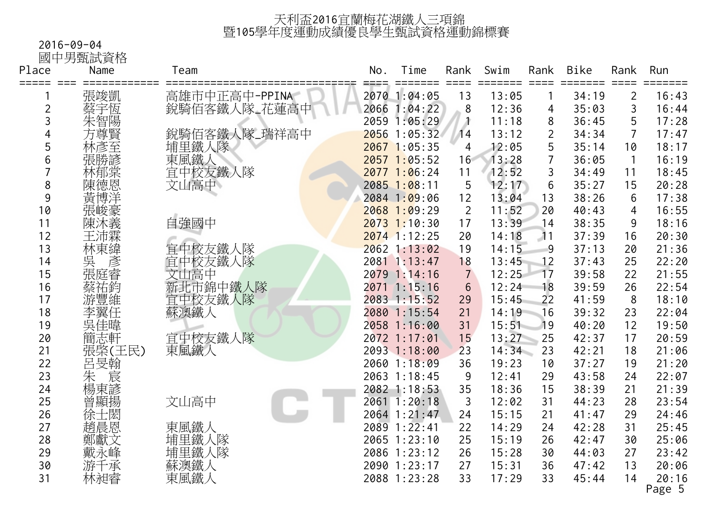#### 2016-09-04

國中男甄試資格

| Place          | Name               | Team            | No. | Time           | Rank           | Swim  | Rank | <b>Bike</b> | Rank           | Run             |
|----------------|--------------------|-----------------|-----|----------------|----------------|-------|------|-------------|----------------|-----------------|
| =====<br>-===  | 張竣凱                | 高雄市中正高中-PPINA   |     | 2070 1:04:05   | 13             | 13:05 |      | 34:19       | $\overline{2}$ | 16:43           |
| $\overline{c}$ | 蔡宇恆                | 銳騎佰客鐵人隊_花蓮高中    |     | 2066 1:04:22   | 8              | 12:36 | 4    | 35:03       | 3              | 16:44           |
| 3              | 朱智陽                |                 |     | 2059 1:05:29   | Λ              | 11:18 | 8    | 36:45       | 5              | 17:28           |
| 4              | 方尊賢                | 銳騎佰客鐵人隊_瑞祥高中    |     | 2056 1:05:32   | 14             | 13:12 | 2    | 34:34       | $\overline{7}$ | 17:47           |
| 5              | 林彥至                | 埔里鐵人隊           |     | 2067 1:05:35   | 4              | 12:05 | 5    | 35:14       | 10             | 18:17           |
| 6              | 張勝諺                | 東風鐵人<br>宜中校友鐵人隊 |     | $2057$ 1:05:52 | 16             | 13:28 |      | 36:05       | $\mathbf{1}$   | 16:19           |
|                | 林郁棠                |                 |     | $2077$ 1:06:24 | 11             | 12:52 | 3    | 34:49       | 11             | 18:45           |
| 8              | 陳德恩                | 文山高中            |     | $2085$ 1:08:11 | 5              | 12:17 | 6    | 35:27       | 15             | 20:28           |
| 9              | 黃博洋                |                 |     | 2084 1:09:06   | 12             | 13:04 | 13   | 38:26       | 6              | 17:38           |
| 10             | 張峻豪                |                 |     | $2068$ 1:09:29 | $\overline{2}$ | 11:52 | 20   | 40:43       | $\overline{4}$ | 16:55           |
| 11             | 陳沐義                | 自強國中            |     | $2073$ 1:10:30 | 17             | 13:39 | 14   | 38:35       | 9              | 18:16           |
| 12             | 王沛霖                |                 |     | $2074$ 1:12:25 | 20             | 14:18 | 11   | 37:39       | 16             | 20:30           |
| 13             | 林東緯                | 宜中校友鐵人隊         |     | 2062 1:13:02   | 19             | 14:15 | 9    | 37:13       | 20             | 21:36           |
| 14             | 「吳張<br>張<br>張<br>張 | 宜中校友鐵人隊         |     | 2081 1:13:47   | 18             | 13:45 | 12   | 37:43       | 25             | 22:20           |
| 15             |                    | 文山高中            |     | 2079 1:14:16   | $\overline{7}$ | 12:25 | 17   | 39:58       | 22             | 21:55           |
| 16             | <b>蔡祐鈞維</b>        | 新北市錦中鐵人隊        |     | 2071 1:15:16   | $6\phantom{1}$ | 12:24 | 18   | 39:59       | 26             | 22:54           |
| 17             |                    | 宜中校友鐵人隊         |     | 2083 1:15:52   | 29             | 15:45 | 22   | 41:59       | 8              | 18:10           |
| 18             | 李翼任                | 蘇澳鐵人            |     | 2080 1:15:54   | 21             | 14:19 | 16   | 39:32       | 23             | 22:04           |
| 19             | 吳佳暐                |                 |     | 2058 1:16:00   | 31             | 15:51 | 19   | 40:20       | 12             | 19:50           |
| 20             | 簡志軒                | 宜中校友鐵人隊         |     | 2072 1:17:01   | 15             | 13:27 | 25   | 42:37       | 17             | 20:59           |
| 21             | 張棨(王民)             | 東風鐵人            |     | 2093 1:18:00   | 23             | 14:34 | 23   | 42:21       | 18             | 21:06           |
| 22             | 呂旻翰                |                 |     | 2060 1:18:09   | 36             | 19:23 | 10   | 37:27       | 19             | 21:20           |
| 23             | 1朱<br>楊東諺<br>楊東    |                 |     | 2063 1:18:45   | 9              | 12:41 | 29   | 43:58       | 24             | 22:07           |
| 24             |                    |                 |     | 2082 1:18:53   | 35             | 18:36 | 15   | 38:39       | 21             | 21:39           |
| 25             | 曾顯揚                | 文山高中            |     | 2061 1:20:18   | 3              | 12:02 | 31   | 44:23       | 28             | 23:54           |
| 26             | 徐士閎                |                 |     | 2064 1:21:47   | 24             | 15:15 | 21   | 41:47       | 29             | 24:46           |
| 27             | 趙晨恩                | 東風鐵人            |     | 2089 1:22:41   | 22             | 14:29 | 24   | 42:28       | 31             | 25:45           |
| 28             | 鄭獻文                | 埔里鐵人隊           |     | 2065 1:23:10   | 25             | 15:19 | 26   | 42:47       | 30             | 25:06           |
| 29             | 戴永峰                | 埔里鐵人隊           |     | 2086 1:23:12   | 26             | 15:28 | 30   | 44:03       | 27             | 23:42           |
| 30             | 游千承                | 蘇澳鐵人            |     | 2090 1:23:17   | 27             | 15:31 | 36   | 47:42       | 13             | 20:06           |
| 31             | 林昶睿                | 東風鐵人            |     | 2088 1:23:28   | 33             | 17:29 | 33   | 45:44       | 14             | 20:16<br>Page 5 |
|                |                    |                 |     |                |                |       |      |             |                |                 |